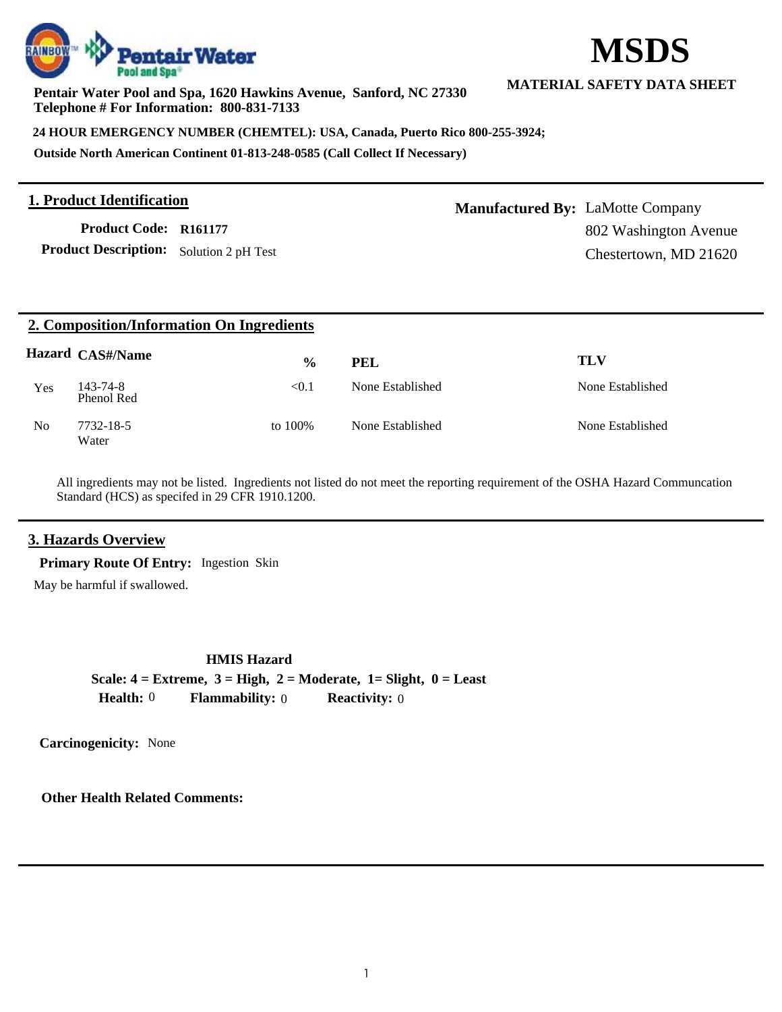

**Pentair Water Pool and Spa, 1620 Hawkins Avenue, Sanford, NC 27330 Telephone # For Information: 800-831-7133**

**24 HOUR EMERGENCY NUMBER (CHEMTEL): USA, Canada, Puerto Rico 800-255-3924;**

**Outside North American Continent 01-813-248-0585 (Call Collect If Necessary)**

#### **1. Product Identification**

**Product Description:** Solution 2 pH Test **Product Code: R161177**

**Manufactured By:** LaMotte Company 802 Washington Avenue Chestertown, MD 21620

| 2. Composition/Information On Ingredients |                         |               |                  |                  |  |  |  |  |
|-------------------------------------------|-------------------------|---------------|------------------|------------------|--|--|--|--|
|                                           | <b>Hazard CAS#/Name</b> | $\frac{6}{9}$ | <b>PEL</b>       | <b>TLV</b>       |  |  |  |  |
| <b>Yes</b>                                | 143-74-8<br>Phenol Red  | < 0.1         | None Established | None Established |  |  |  |  |
| N <sub>0</sub>                            | 7732-18-5<br>Water      | to 100%       | None Established | None Established |  |  |  |  |

All ingredients may not be listed. Ingredients not listed do not meet the reporting requirement of the OSHA Hazard Communcation Standard (HCS) as specifed in 29 CFR 1910.1200.

### **3. Hazards Overview**

**Primary Route Of Entry:** Ingestion Skin

May be harmful if swallowed.

#### **HMIS Hazard**

**Scale: 4 = Extreme, 3 = High, 2 = Moderate, 1= Slight, 0 = Least Health:** 0 **Flammability:** 0 **Reactivity:** 0

**Carcinogenicity:** None

**Other Health Related Comments:**

# **MSDS**

**MATERIAL SAFETY DATA SHEET**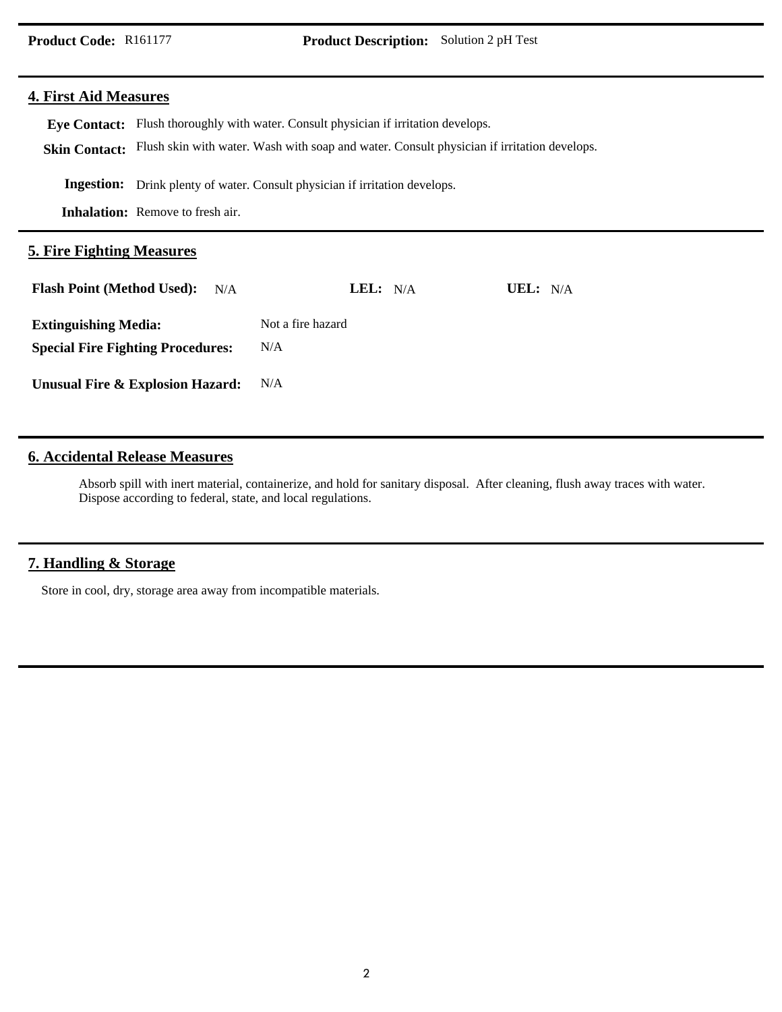#### **4. First Aid Measures**

Eye Contact: Flush thoroughly with water. Consult physician if irritation develops. Skin Contact: Flush skin with water. Wash with soap and water. Consult physician if irritation develops. **Inhalation:** Remove to fresh air. **Ingestion:** Drink plenty of water. Consult physician if irritation develops. **5. Fire Fighting Measures Flash Point (Method Used): LEL:** N/A **UEL:** N/A N/A

**Extinguishing Media: Special Fire Fighting Procedures:** Not a fire hazard N/A

**Unusual Fire & Explosion Hazard:** N/A

#### **6. Accidental Release Measures**

Absorb spill with inert material, containerize, and hold for sanitary disposal. After cleaning, flush away traces with water. Dispose according to federal, state, and local regulations.

#### **7. Handling & Storage**

Store in cool, dry, storage area away from incompatible materials.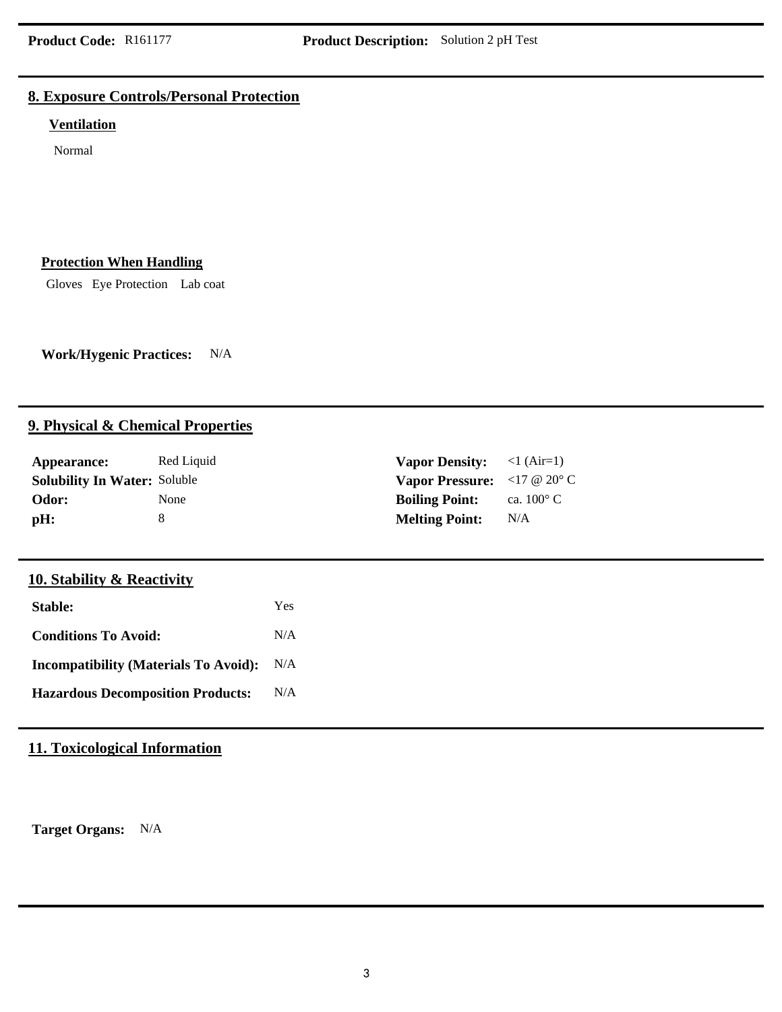## **8. Exposure Controls/Personal Protection**

#### **Ventilation**

Normal

#### **Protection When Handling**

Gloves Eye Protection Lab coat

**Work/Hygenic Practices:** N/A

## **9. Physical & Chemical Properties**

| Appearance:                         | Red Liquid  | <b>Vapor Density:</b>                                                   | $\langle$ l (Air=1) |
|-------------------------------------|-------------|-------------------------------------------------------------------------|---------------------|
| <b>Solubility In Water: Soluble</b> |             | <b>Vapor Pressure:</b> $\langle 17 \otimes 20^{\circ} \text{C} \rangle$ |                     |
| Odor:                               | <b>None</b> | <b>Boiling Point:</b>                                                   | ca. $100^{\circ}$ C |
| pH:                                 |             | <b>Melting Point:</b>                                                   | N/A                 |

# **10. Stability & Reactivity**

| Stable:                                      | Yes |
|----------------------------------------------|-----|
| <b>Conditions To Avoid:</b>                  | N/A |
| <b>Incompatibility (Materials To Avoid):</b> | N/A |
| <b>Hazardous Decomposition Products:</b>     | N/A |

# **11. Toxicological Information**

**Target Organs:** N/A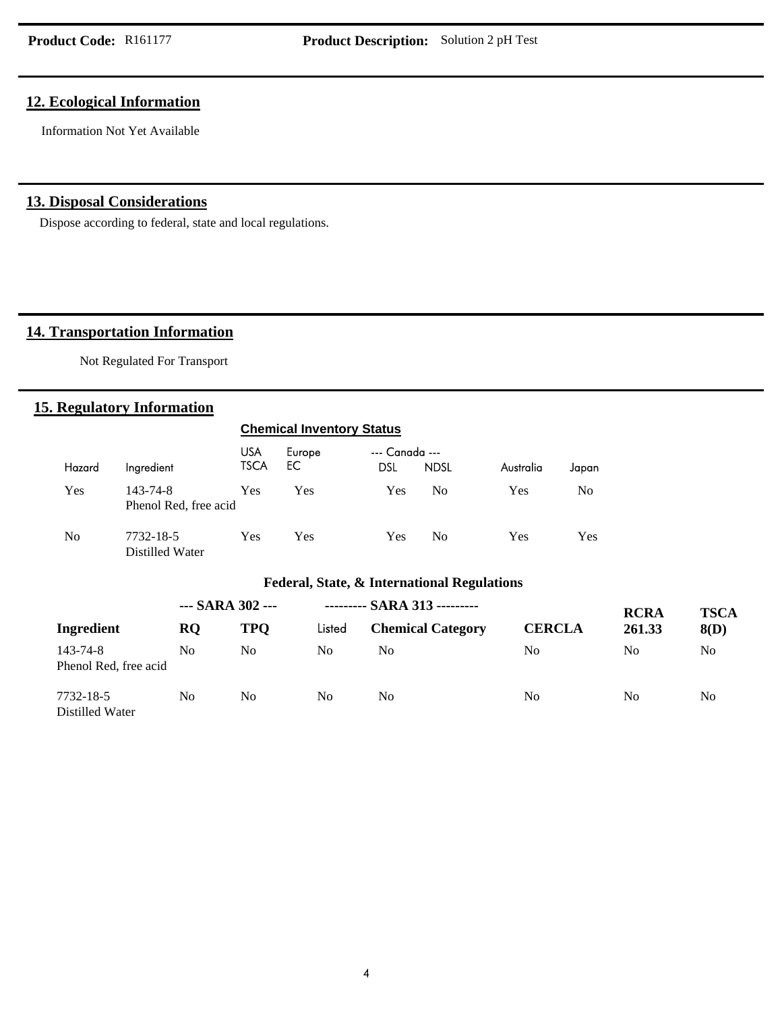## **12. Ecological Information**

Information Not Yet Available

## **13. Disposal Considerations**

Dispose according to federal, state and local regulations.

# **14. Transportation Information**

Not Regulated For Transport

## **15. Regulatory Information**

|                |                                   | <b>Chemical Inventory Status</b> |               |                                                        |                |            |                |
|----------------|-----------------------------------|----------------------------------|---------------|--------------------------------------------------------|----------------|------------|----------------|
| Hazard         | Ingredient                        | <b>USA</b><br><b>TSCA</b>        | Europe<br>EC. | --- Canada ---<br><b>DSL</b>                           | <b>NDSL</b>    | Australia  | Japan          |
| <b>Yes</b>     | 143-74-8<br>Phenol Red, free acid | Yes                              | <b>Yes</b>    | Yes                                                    | N <sub>0</sub> | <b>Yes</b> | N <sub>0</sub> |
| N <sub>0</sub> | 7732-18-5<br>Distilled Water      | Yes                              | <b>Yes</b>    | Yes                                                    | N <sub>0</sub> | <b>Yes</b> | Yes            |
|                |                                   |                                  |               | <b>Federal, State, &amp; International Regulations</b> |                |            |                |
|                |                                   | $CAD$ $AD$                       |               | CADA212                                                |                |            |                |

|                                   | $-$ SARA 302 $-$ |                |        | --------- SARA 313 --------- |               | <b>RCRA</b>    | <b>TSCA</b> |
|-----------------------------------|------------------|----------------|--------|------------------------------|---------------|----------------|-------------|
| Ingredient                        | <b>RQ</b>        | <b>TPO</b>     | Listed | <b>Chemical Category</b>     | <b>CERCLA</b> | 261.33         | 8(D)        |
| 143-74-8<br>Phenol Red, free acid | No               | No             | No     | No                           | No            | N <sub>0</sub> | No          |
| 7732-18-5<br>Distilled Water      | No               | N <sub>0</sub> | No     | No                           | No            | N <sub>0</sub> | No.         |